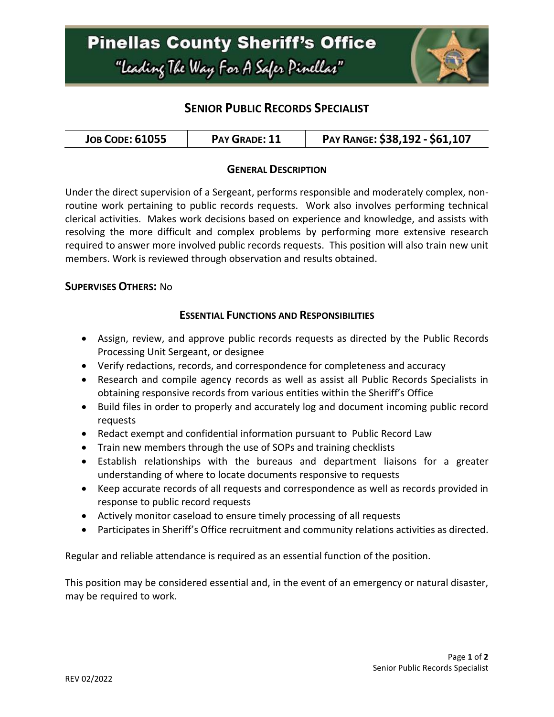

# **SENIOR PUBLIC RECORDS SPECIALIST**

| <b>JOB CODE: 61055</b><br>PAY GRADE: 11 | PAY RANGE: \$38,192 - \$61,107 |
|-----------------------------------------|--------------------------------|
|-----------------------------------------|--------------------------------|

#### **GENERAL DESCRIPTION**

Under the direct supervision of a Sergeant, performs responsible and moderately complex, nonroutine work pertaining to public records requests. Work also involves performing technical clerical activities. Makes work decisions based on experience and knowledge, and assists with resolving the more difficult and complex problems by performing more extensive research required to answer more involved public records requests. This position will also train new unit members. Work is reviewed through observation and results obtained.

#### **SUPERVISES OTHERS:** No

#### **ESSENTIAL FUNCTIONS AND RESPONSIBILITIES**

- Assign, review, and approve public records requests as directed by the Public Records Processing Unit Sergeant, or designee
- Verify redactions, records, and correspondence for completeness and accuracy
- Research and compile agency records as well as assist all Public Records Specialists in obtaining responsive records from various entities within the Sheriff's Office
- Build files in order to properly and accurately log and document incoming public record requests
- Redact exempt and confidential information pursuant to Public Record Law
- Train new members through the use of SOPs and training checklists
- Establish relationships with the bureaus and department liaisons for a greater understanding of where to locate documents responsive to requests
- Keep accurate records of all requests and correspondence as well as records provided in response to public record requests
- Actively monitor caseload to ensure timely processing of all requests
- Participates in Sheriff's Office recruitment and community relations activities as directed.

Regular and reliable attendance is required as an essential function of the position.

This position may be considered essential and, in the event of an emergency or natural disaster, may be required to work.